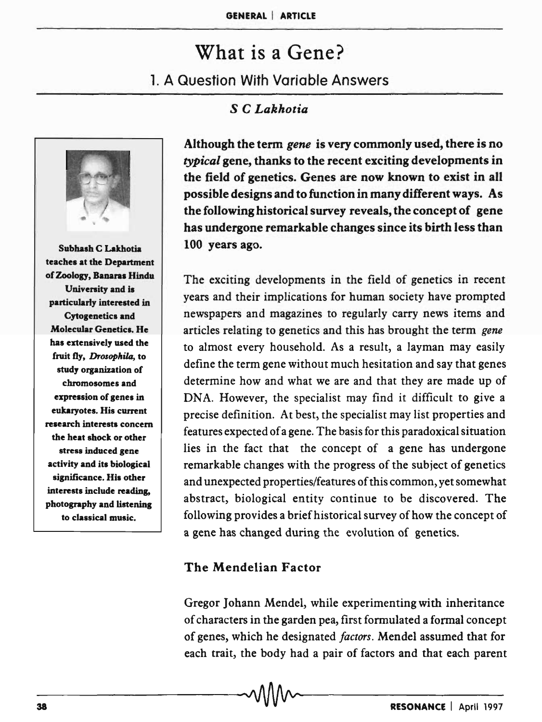# What is a Gene? 1. A Question With Variable Answers

### S C *Lakhotia*



Subbash C Lakhotia teaches at the Department of Zoology, Banana Hindu University and is particularly interested in Cytogenetics and Molecular Genetics. He bas extensively used the fruit fly, *Drosophila*, to study organization of chromosomes and expression of genes in eukaryotes. His current research interests concem the heat shock or other stress induced gene activity and its biological significance. His other interests include reading, photography and listening to classical music.

Although the term *gene* is very commonly used, there is no *typical* gene, thanks to the recent exciting developments in the field of genetics. Genes are now known to exist in all possible designs and to function in many different ways. As the following historical survey reveals, the concept of gene has undergone remarkable changes since its birth less than 100 years ago.

The exciting developments in the field of genetics in recent years and their implications for human society have prompted newspapers and magazines to regularly carry news items and articles relating to genetics and this has brought the term *gene*  to almost every household. As a result, a layman may easily define the term gene without much hesitation and say that genes determine how and what we are and that they are made up of DNA. However, the specialist may find it difficult to give a precise definition. At best, the specialist may list properties and features expected of a gene. The basis for this paradoxical situation lies in the fact that the concept of a gene has undergone remarkable changes with the progress of the subject of genetics and unexpected properties/features of this common, yet somewhat abstract, biological entity continue to be discovered. The following provides a brief historical survey of how the concept of a gene has changed during the evolution of genetics.

#### The Mendelian Factor

Gregor Johann Mendel, while experimenting with inheritance of characters in the garden pea, first formulated a formal concept of genes, which he designated *factors.* Mendel assumed that for each trait, the body had a pair of factors and that each parent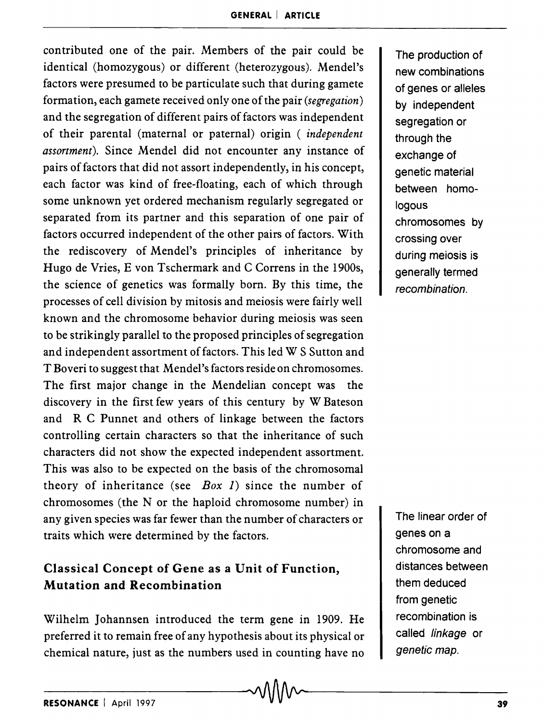contributed one of the pair. Members of the pair could be identical (homozygous) or different (heterozygous). Mendel's factors were presumed to be particulate such that during gamete formation, each gamete received only one of the pair *(segregation)*  and the segregation of different pairs of factors was independent of their parental (maternal or paternal) origin ( *independent assortment).* Since Mendel did not encounter any instance of pairs of factors that did not assort independently, in his concept, each factor was kind of free-floating, each of which through some unknown yet ordered mechanism regularly segregated or separated from its partner and this separation of one pair of factors occurred independent of the other pairs of factors. With the rediscovery of Mendel's principles of inheritance by Hugo de Vries, Evon Tschermark and C Correns in the 1900s, the science of genetics was formally born. By this time, the processes of cell division by mitosis and meiosis were fairly well known and the chromosome behavior during meiosis was seen to be strikingly parallel to the proposed principles of segregation and independent assortment of factors. This led W S Sutton and T Boveri to suggest that Mendel's factors reside on chromosomes. The first major change in the Mendelian concept was the discovery in the first few years of this century by W Bateson and R C Punnet and others of linkage between the factors controlling certain characters so that the inheritance of such characters did not show the expected independent assortment. This was also to be expected on the basis of the chromosomal theory of inheritance (see *Box* 1) since the number of chromosomes (the N or the haploid chromosome number) in any given species was far fewer than the number of characters or traits which were determined by the factors.

## Classical Concept of Gene as a Unit of Function, Mutation and Recombination

Wilhelm Johannsen introduced the term gene in 1909. He preferred it to remain free of any hypothesis about its physical or chemical nature, just as the numbers used in counting have no The production of new combinations of genes or alleles by independent segregation or through the exchange of genetic material between homologous chromosomes by crossing over during meiosis is generally termed recombination.

The linear order of genes on a chromosome and distances between them deduced from genetic recombination is called linkage or genetic map.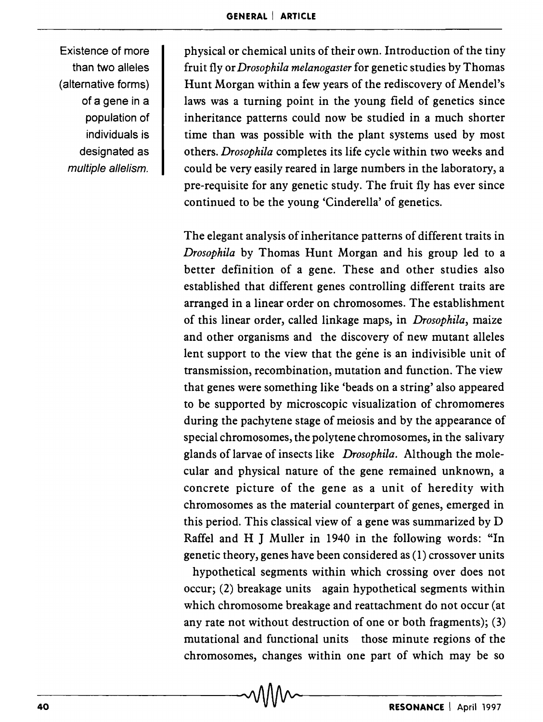Existence of more than two alleles (alternative forms) of a gene in a population of individuals is designated as multiple allelism.

physical or chemical units of their own. Introduction of the tiny fruit fly or *Drosophila melanogaster* for genetic studies by Thomas Hunt Morgan within a few years of the rediscovery of Mendel's laws was a turning point in the young field of genetics since inheritance patterns could now be studied in a much shorter time than was possible with the plant systems used by most others. *Drosophila* completes its life cycle within two weeks and could be very easily reared in large numbers in the laboratory, a pre-requisite for any genetic study. The fruit fly has ever since continued to be the young 'Cinderella' of genetics.

The elegant analysis of inheritance patterns of different traits in *Drosophila* by Thomas Hunt Morgan and his group led to a better definition of a gene. These and other studies also established that different genes controlling different traits are arranged in a linear order on chromosomes. The establishment of this linear order, called linkage maps, in *Drosophila,* maize and other organisms and the discovery of new mutant alleles lent support to the view that the gene is an indivisible unit of transmission, recombination, mutation and function. The view that genes were something like 'beads on a string' also appeared to be supported by microscopic visualization of chromomeres during the pachytene stage of meiosis and by the appearance of special chromosomes, the polytene chromosomes, in the salivary glands of larvae of insects like *Drosophila.* Although the molecular and physical nature of the gene remained unknown, a concrete picture of the gene as a unit of heredity with chromosomes as the material counterpart of genes, emerged in this period. This classical view of a gene was summarized by D Raffel and H J Muller in 1940 in the following words: "In genetic theory, genes have been considered as (1) crossover units

hypothetical segments within which crossing over does not occur; (2) breakage units again hypothetical segments within which chromosome breakage and reattachment do not occur (at any rate not without destruction of one or both fragments); (3) mutational and functional units those minute regions of the chromosomes, changes within one part of which may be so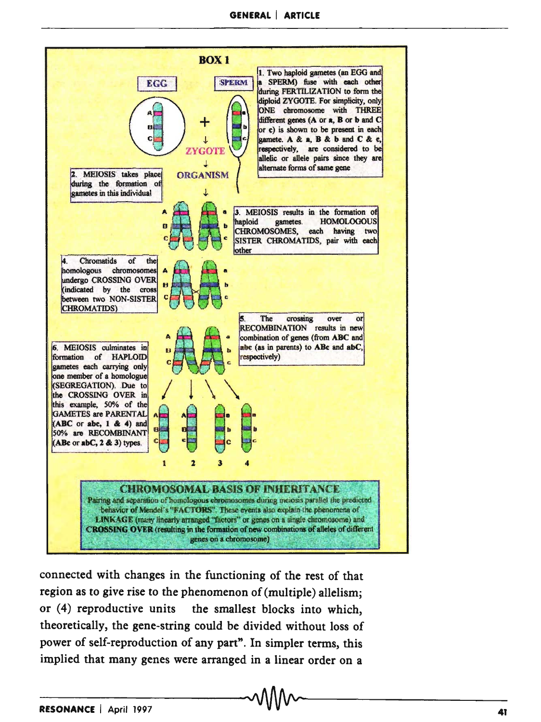

connected with changes in the functioning of the rest of that region as to give rise to the phenomenon of (multiple) allelism; or (4) reproductive units the smallest blocks into which, theoretically, the gene-string could be divided without loss of power of self-reproduction of any part". In simpler terms, this implied that many genes were arranged in a linear order on a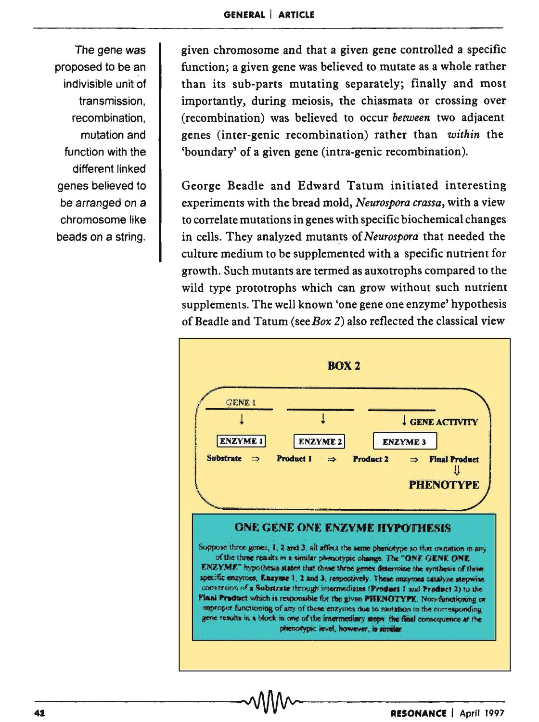The gene was proposed to be an indivisible unit of transmission. recombination. mutation and function with the different linked genes believed to be arranged on a chromosome like beads on a string.

given chromosome and that a given gene controlled a specific function; a given gene was believed to mutate as a whole rather than its sub-parts mutating separately; finally and most importantly, during meiosis, the chiasmata or crossing over (recombination) was believed to occur between two adjacent genes (inter-genic recombination) rather than within the 'boundary' of a given gene (intra-genic recombination).

George Beadle and Edward Tatum initiated interesting experiments with the bread mold, Neurospora crassa, with a view to correlate mutations in genes with specific biochemical changes in cells. They analyzed mutants of Neurospora that needed the culture medium to be supplemented with a specific nutrient for growth. Such mutants are termed as auxotrophs compared to the wild type prototrophs which can grow without such nutrient supplements. The well known 'one gene one enzyme' hypothesis of Beadle and Tatum (see Box 2) also reflected the classical view

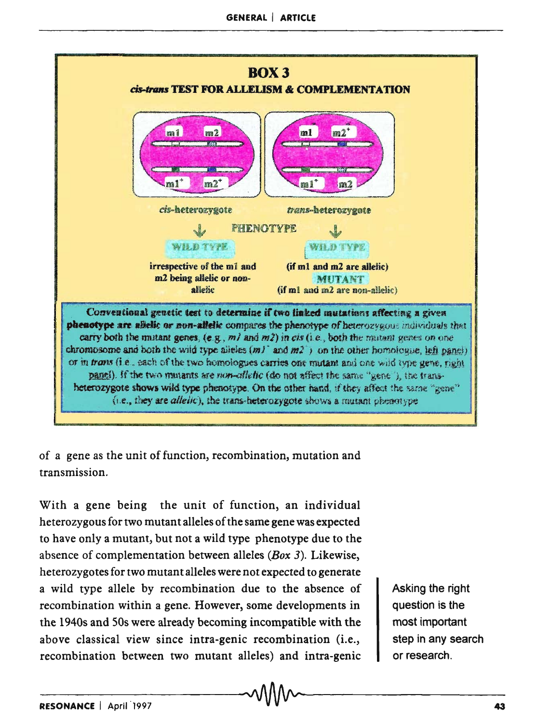

of a gene as the unit of function, recombination, mutation and transmission.

With a gene being the unit of function, an individual heterozygous for two mutant alleles of the same gene was expected to have only a mutant, but not a wild type phenotype due to the absence of complementation between alleles (Box 3). Likewise, heterozygotes for two mutant alleles were not expected to generate a wild type allele by recombination due to the absence of recombination within a gene. However, some developments in the 1940s and 50s were already becoming incompatible with the above classical view since intra-genic recombination (i.e., recombination between two mutant alleles) and intra-genic

Asking the right question is the most important step in any search or research.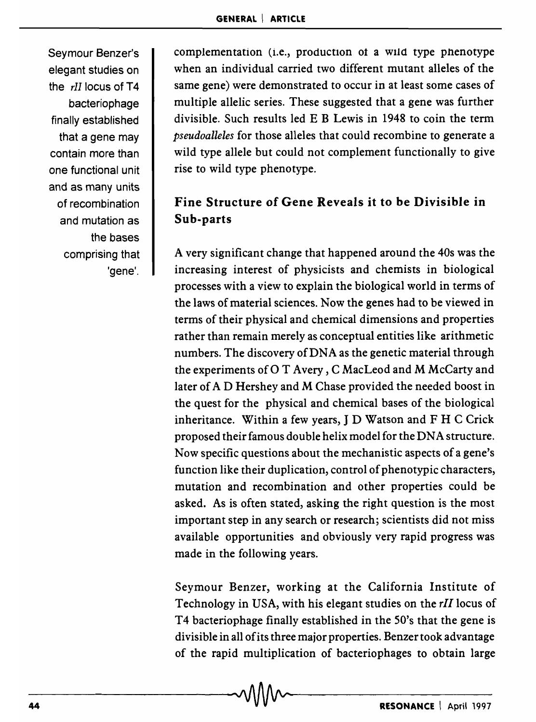Seymour Benzer's elegant studies on the *rII* locus of T4 bacteriophage finally established that a gene may contain more than one functional unit and as many units of recombination and mutation as the bases comprising that 'gene'.

complementation (i.e., production of a wild type phenotype when an individual carried two different mutant alleles of the same gene) were demonstrated to occur in at least some cases of multiple allelic series. These suggested that a gene was further divisible. Such results led E B Lewis in 1948 to coin the term *pseudoalleles* for those alleles that could recombine to generate a wild type allele but could not complement functionally to give rise to wild type phenotype.

## **Fine Structure of Gene Reveals it to be Divisible in Sub-parts**

A very significant change that happened around the 40s was the increasing interest of physicists and chemists in biological processes with a view to explain the biological world in terms of the laws of material sciences. Now the genes had to be viewed in terms of their physical and chemical dimensions and properties rather than remain merely as conceptual entities like arithmetic numbers. The discovery of DNA as the genetic material through the experiments of 0 T Avery, C MacLeod and M McCarty and later of A D Hershey and M Chase provided the needed boost in the quest for the physical and chemical bases of the biological inheritance. Within a few years, J D Watson and F H C Crick proposed their famous double helix model for the DNA structure. Now specific questions about the mechanistic aspects of a gene's function like their duplication, control of phenotypic characters, mutation and recombination and other properties could be asked. As is often stated, asking the right question is the most important step in any search or research; scientists did not miss available opportunities and obviously very rapid progress was made in the following years.

Seymour Benzer, working at the California Institute of Technology in USA, with his elegant studies on the *TIl* locus of T4 bacteriophage finally established in the 50's that the gene is divisible in all of its three major properties. Benzertook advantage of the rapid multiplication of bacteriophages to obtain large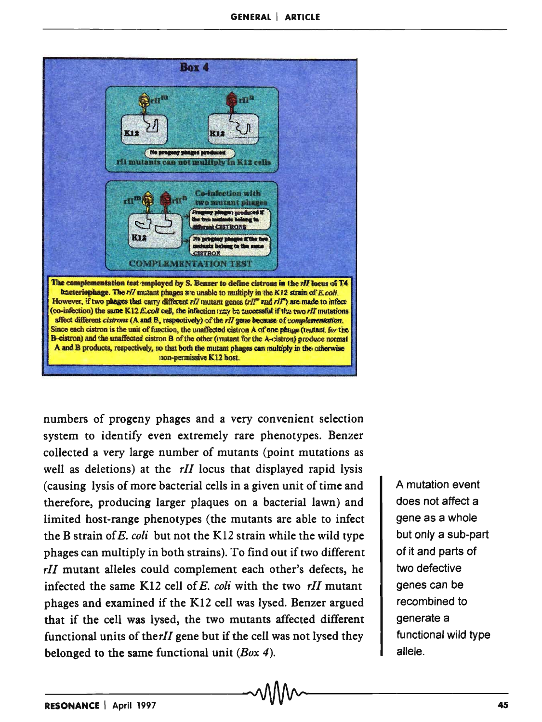

numbers of progeny phages and a very convenient selection system to identify even extremely rare phenotypes. Benzer collected a very large number of mutants (point mutations as well as deletions) at the rII locus that displayed rapid lysis (causing lysis of more bacterial cells in a given unit of time and therefore, producing larger plaques on a bacterial lawn) and limited host-range phenotypes (the mutants are able to infect the B strain of  $E$ . coli but not the K12 strain while the wild type phages can multiply in both strains). To find out if two different rII mutant alleles could complement each other's defects, he infected the same K12 cell of E. coli with the two rII mutant phages and examined if the K12 cell was lysed. Benzer argued that if the cell was lysed, the two mutants affected different functional units of therII gene but if the cell was not lysed they belonged to the same functional unit  $(Box 4)$ .

A mutation event does not affect a gene as a whole but only a sub-part of it and parts of two defective genes can be recombined to generate a functional wild type allele.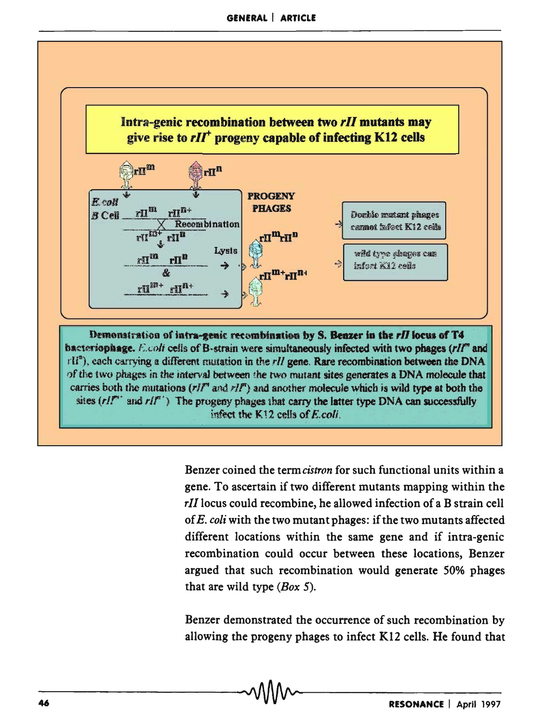

Benzer coined the term cistron for such functional units within a gene. To ascertain if two different mutants mapping within the rII locus could recombine, he allowed infection of a B strain cell of E. coli with the two mutant phages: if the two mutants affected different locations within the same gene and if intra-genic recombination could occur between these locations, Benzer argued that such recombination would generate 50% phages that are wild type  $(Box 5)$ .

Benzer demonstrated the occurrence of such recombination by allowing the progeny phages to infect K12 cells. He found that